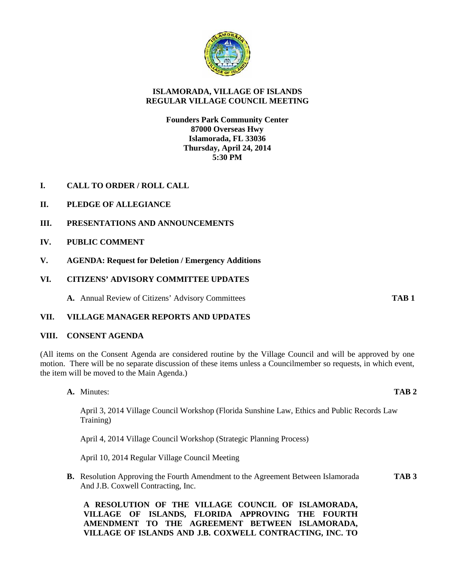

# **ISLAMORADA, VILLAGE OF ISLANDS REGULAR VILLAGE COUNCIL MEETING**

## **Founders Park Community Center 87000 Overseas Hwy Islamorada, FL 33036 Thursday, April 24, 2014 5:30 PM**

- **I. CALL TO ORDER / ROLL CALL**
- **II. PLEDGE OF ALLEGIANCE**
- **III. PRESENTATIONS AND ANNOUNCEMENTS**
- **IV. PUBLIC COMMENT**
- **V. AGENDA: Request for Deletion / Emergency Additions**
- **VI. CITIZENS' ADVISORY COMMITTEE UPDATES**

**A.** Annual Review of Citizens' Advisory Committees **TAB 1**

## **VII. VILLAGE MANAGER REPORTS AND UPDATES**

## **VIII. CONSENT AGENDA**

(All items on the Consent Agenda are considered routine by the Village Council and will be approved by one motion. There will be no separate discussion of these items unless a Councilmember so requests, in which event, the item will be moved to the Main Agenda.)

**A.** Minutes: **TAB 2**

April 3, 2014 Village Council Workshop (Florida Sunshine Law, Ethics and Public Records Law Training)

April 4, 2014 Village Council Workshop (Strategic Planning Process)

April 10, 2014 Regular Village Council Meeting

**B.** Resolution Approving the Fourth Amendment to the Agreement Between Islamorada **TAB 3** And J.B. Coxwell Contracting, Inc.

**A RESOLUTION OF THE VILLAGE COUNCIL OF ISLAMORADA, VILLAGE OF ISLANDS, FLORIDA APPROVING THE FOURTH AMENDMENT TO THE AGREEMENT BETWEEN ISLAMORADA, VILLAGE OF ISLANDS AND J.B. COXWELL CONTRACTING, INC. TO**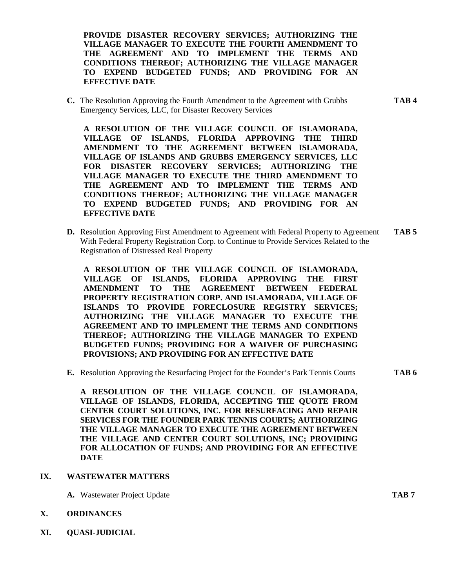**PROVIDE DISASTER RECOVERY SERVICES; AUTHORIZING THE VILLAGE MANAGER TO EXECUTE THE FOURTH AMENDMENT TO THE AGREEMENT AND TO IMPLEMENT THE TERMS AND CONDITIONS THEREOF; AUTHORIZING THE VILLAGE MANAGER TO EXPEND BUDGETED FUNDS; AND PROVIDING FOR AN EFFECTIVE DATE**

**C.** The Resolution Approving the Fourth Amendment to the Agreement with Grubbs **TAB 4** Emergency Services, LLC, for Disaster Recovery Services

**A RESOLUTION OF THE VILLAGE COUNCIL OF ISLAMORADA, VILLAGE OF ISLANDS, FLORIDA APPROVING THE THIRD AMENDMENT TO THE AGREEMENT BETWEEN ISLAMORADA, VILLAGE OF ISLANDS AND GRUBBS EMERGENCY SERVICES, LLC FOR DISASTER RECOVERY SERVICES; AUTHORIZING THE VILLAGE MANAGER TO EXECUTE THE THIRD AMENDMENT TO THE AGREEMENT AND TO IMPLEMENT THE TERMS AND CONDITIONS THEREOF; AUTHORIZING THE VILLAGE MANAGER TO EXPEND BUDGETED FUNDS; AND PROVIDING FOR AN EFFECTIVE DATE**

**D.** Resolution Approving First Amendment to Agreement with Federal Property to Agreement **TAB 5** With Federal Property Registration Corp. to Continue to Provide Services Related to the Registration of Distressed Real Property

**A RESOLUTION OF THE VILLAGE COUNCIL OF ISLAMORADA, VILLAGE OF ISLANDS, FLORIDA APPROVING THE FIRST AMENDMENT TO THE AGREEMENT BETWEEN FEDERAL PROPERTY REGISTRATION CORP. AND ISLAMORADA, VILLAGE OF ISLANDS TO PROVIDE FORECLOSURE REGISTRY SERVICES; AUTHORIZING THE VILLAGE MANAGER TO EXECUTE THE AGREEMENT AND TO IMPLEMENT THE TERMS AND CONDITIONS THEREOF; AUTHORIZING THE VILLAGE MANAGER TO EXPEND BUDGETED FUNDS; PROVIDING FOR A WAIVER OF PURCHASING PROVISIONS; AND PROVIDING FOR AN EFFECTIVE DATE**

**E.** Resolution Approving the Resurfacing Project for the Founder's Park Tennis Courts **TAB 6**

**A RESOLUTION OF THE VILLAGE COUNCIL OF ISLAMORADA, VILLAGE OF ISLANDS, FLORIDA, ACCEPTING THE QUOTE FROM CENTER COURT SOLUTIONS, INC. FOR RESURFACING AND REPAIR SERVICES FOR THE FOUNDER PARK TENNIS COURTS; AUTHORIZING THE VILLAGE MANAGER TO EXECUTE THE AGREEMENT BETWEEN THE VILLAGE AND CENTER COURT SOLUTIONS, INC; PROVIDING FOR ALLOCATION OF FUNDS; AND PROVIDING FOR AN EFFECTIVE DATE**

- **IX. WASTEWATER MATTERS**
	- **A.** Wastewater Project Update **TAB 7**
- **X. ORDINANCES**
- **XI. QUASI-JUDICIAL**